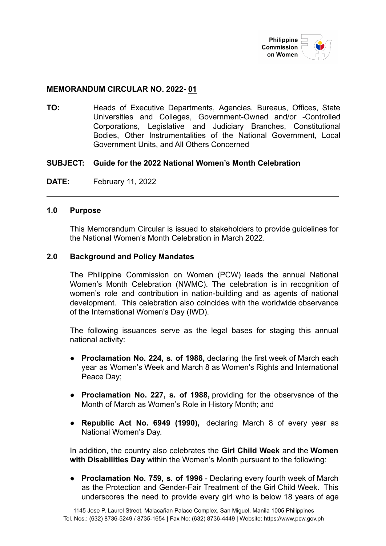

### **MEMORANDUM CIRCULAR NO. 2022- 01**

**TO:** Heads of Executive Departments, Agencies, Bureaus, Offices, State Universities and Colleges, Government-Owned and/or -Controlled Corporations, Legislative and Judiciary Branches, Constitutional Bodies, Other Instrumentalities of the National Government, Local Government Units, and All Others Concerned

#### **SUBJECT: Guide for the 2022 National Women's Month Celebration**

**DATE:** February 11, 2022

### **1.0 Purpose**

This Memorandum Circular is issued to stakeholders to provide guidelines for the National Women's Month Celebration in March 2022.

#### **2.0 Background and Policy Mandates**

The Philippine Commission on Women (PCW) leads the annual National Women's Month Celebration (NWMC). The celebration is in recognition of women's role and contribution in nation-building and as agents of national development. This celebration also coincides with the worldwide observance of the International Women's Day (IWD).

The following issuances serve as the legal bases for staging this annual national activity:

- **[Proclamation](https://www.pcw.gov.ph/law/proclamation-no-224) No. 224, s. of 1988,** declaring the first week of March each year as Women's Week and March 8 as Women's Rights and International Peace Day;
- **[Proclamation](https://www.pcw.gov.ph/law/proclamation-no-227) No. 227, s. of 1988,** providing for the observance of the Month of March as Women's Role in History Month; and
- **[Republic](https://www.pcw.gov.ph/law/republic-act-6949) Act No. 6949 (1990),** declaring March 8 of every year as National Women's Day.

In addition, the country also celebrates the **Girl Child Week** and the **Women with Disabilities Day** within the Women's Month pursuant to the following:

● **Proclamation No. 759, s. of 1996** - Declaring every fourth week of March as the Protection and Gender-Fair Treatment of the Girl Child Week. This underscores the need to provide every girl who is below 18 years of age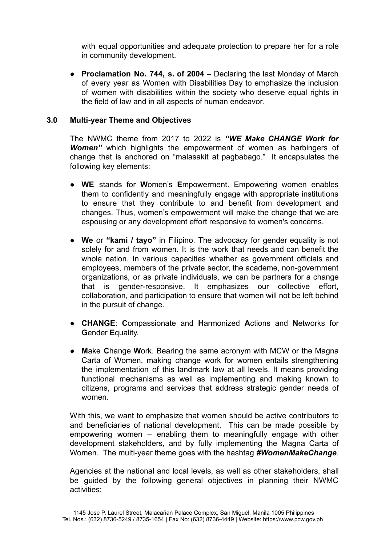with equal opportunities and adequate protection to prepare her for a role in community development.

● **Proclamation No. 744, s. of 2004** – Declaring the last Monday of March of every year as Women with Disabilities Day to emphasize the inclusion of women with disabilities within the society who deserve equal rights in the field of law and in all aspects of human endeavor.

## **3.0 Multi-year Theme and Objectives**

The NWMC theme from 2017 to 2022 is *"WE Make CHANGE Work for Women"* which highlights the empowerment of women as harbingers of change that is anchored on "malasakit at pagbabago." It encapsulates the following key elements:

- **WE** stands for **W**omen's **E**mpowerment. Empowering women enables them to confidently and meaningfully engage with appropriate institutions to ensure that they contribute to and benefit from development and changes. Thus, women's empowerment will make the change that we are espousing or any development effort responsive to women's concerns.
- **We** or **"kami / tayo"** in Filipino. The advocacy for gender equality is not solely for and from women. It is the work that needs and can benefit the whole nation. In various capacities whether as government officials and employees, members of the private sector, the academe, non-government organizations, or as private individuals, we can be partners for a change that is gender-responsive. It emphasizes our collective effort, collaboration, and participation to ensure that women will not be left behind in the pursuit of change.
- **CHANGE**: **C**ompassionate and **H**armonized **A**ctions and **N**etworks for **G**ender **E**quality.
- **Make Change Work. Bearing the same acronym with MCW or the Magna** Carta of Women, making change work for women entails strengthening the implementation of this landmark law at all levels. It means providing functional mechanisms as well as implementing and making known to citizens, programs and services that address strategic gender needs of women.

With this, we want to emphasize that women should be active contributors to and beneficiaries of national development. This can be made possible by empowering women – enabling them to meaningfully engage with other development stakeholders, and by fully implementing the Magna Carta of Women. The multi-year theme goes with the hashtag *#WomenMakeChange*.

Agencies at the national and local levels, as well as other stakeholders, shall be guided by the following general objectives in planning their NWMC activities: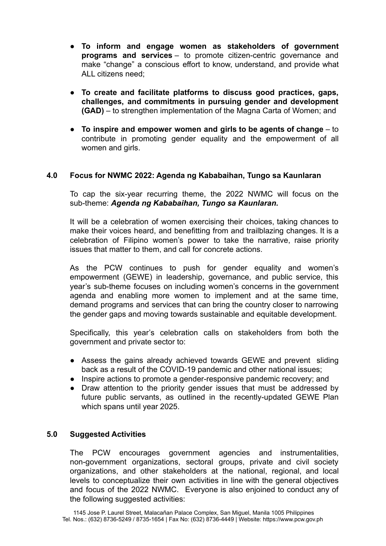- **To inform and engage women as stakeholders of government programs and services** – to promote citizen-centric governance and make "change" a conscious effort to know, understand, and provide what ALL citizens need;
- **To create and facilitate platforms to discuss good practices, gaps, challenges, and commitments in pursuing gender and development (GAD)** – to strengthen implementation of the Magna Carta of Women; and
- **To inspire and empower women and girls to be agents of change** to contribute in promoting gender equality and the empowerment of all women and girls.

## **4.0 Focus for NWMC 2022: Agenda ng Kababaihan, Tungo sa Kaunlaran**

To cap the six-year recurring theme, the 2022 NWMC will focus on the sub-theme: *Agenda ng Kababaihan, Tungo sa Kaunlaran.*

It will be a celebration of women exercising their choices, taking chances to make their voices heard, and benefitting from and trailblazing changes. It is a celebration of Filipino women's power to take the narrative, raise priority issues that matter to them, and call for concrete actions.

As the PCW continues to push for gender equality and women's empowerment (GEWE) in leadership, governance, and public service, this year's sub-theme focuses on including women's concerns in the government agenda and enabling more women to implement and at the same time, demand programs and services that can bring the country closer to narrowing the gender gaps and moving towards sustainable and equitable development.

Specifically, this year's celebration calls on stakeholders from both the government and private sector to:

- Assess the gains already achieved towards GEWE and prevent sliding back as a result of the COVID-19 pandemic and other national issues;
- Inspire actions to promote a gender-responsive pandemic recovery; and
- Draw attention to the priority gender issues that must be addressed by future public servants, as outlined in the recently-updated GEWE Plan which spans until year 2025.

## **5.0 Suggested Activities**

The PCW encourages government agencies and instrumentalities, non-government organizations, sectoral groups, private and civil society organizations, and other stakeholders at the national, regional, and local levels to conceptualize their own activities in line with the general objectives and focus of the 2022 NWMC. Everyone is also enjoined to conduct any of the following suggested activities: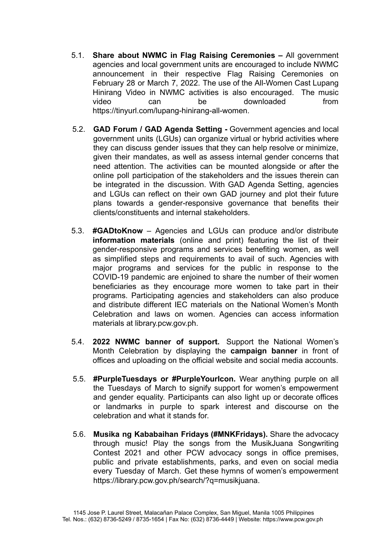- 5.1. **Share about NWMC in Flag Raising Ceremonies –** All government agencies and local government units are encouraged to include NWMC announcement in their respective Flag Raising Ceremonies on February 28 or March 7, 2022. The use of the All-Women Cast Lupang Hinirang Video in NWMC activities is also encouraged. The music video can be downloaded from <https://tinyurl.com/lupang-hinirang-all-women>.
- 5.2. **GAD Forum / GAD Agenda Setting -** Government agencies and local government units (LGUs) can organize virtual or hybrid activities where they can discuss gender issues that they can help resolve or minimize, given their mandates, as well as assess internal gender concerns that need attention. The activities can be mounted alongside or after the online poll participation of the stakeholders and the issues therein can be integrated in the discussion. With GAD Agenda Setting, agencies and LGUs can reflect on their own GAD journey and plot their future plans towards a gender-responsive governance that benefits their clients/constituents and internal stakeholders.
- 5.3. **#GADtoKnow** Agencies and LGUs can produce and/or distribute **information materials** (online and print) featuring the list of their gender-responsive programs and services benefiting women, as well as simplified steps and requirements to avail of such. Agencies with major programs and services for the public in response to the COVID-19 pandemic are enjoined to share the number of their women beneficiaries as they encourage more women to take part in their programs. Participating agencies and stakeholders can also produce and distribute different IEC materials on the National Women's Month Celebration and laws on women. Agencies can access information materials at library.pcw.gov.ph.
- 5.4. **2022 NWMC banner of support.** Support the National Women's Month Celebration by displaying the **campaign banner** in front of offices and uploading on the official website and social media accounts.
- 5.5. **#PurpleTuesdays or #PurpleYourIcon.** Wear anything purple on all the Tuesdays of March to signify support for women's empowerment and gender equality. Participants can also light up or decorate offices or landmarks in purple to spark interest and discourse on the celebration and what it stands for.
- 5.6. **Musika ng Kababaihan Fridays (#MNKFridays).** Share the advocacy through music! Play the songs from the MusikJuana Songwriting Contest 2021 and other PCW advocacy songs in office premises, public and private establishments, parks, and even on social media every Tuesday of March. Get these hymns of women's empowerment https://library.pcw.gov.ph/search/?q=musikjuana.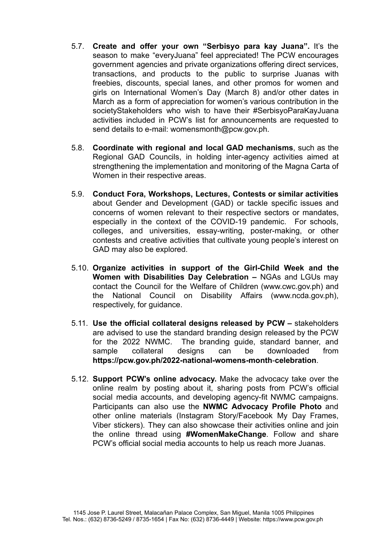- 5.7. **Create and offer your own "Serbisyo para kay Juana".** It's the season to make "everyJuana" feel appreciated! The PCW encourages government agencies and private organizations offering direct services, transactions, and products to the public to surprise Juanas with freebies, discounts, special lanes, and other promos for women and girls on International Women's Day (March 8) and/or other dates in March as a form of appreciation for women's various contribution in the societyStakeholders who wish to have their #SerbisyoParaKayJuana activities included in PCW's list for announcements are requested to send details to e-mail: womensmonth@pcw.gov.ph.
- 5.8. **Coordinate with regional and local GAD mechanisms**, such as the Regional GAD Councils, in holding inter-agency activities aimed at strengthening the implementation and monitoring of the Magna Carta of Women in their respective areas.
- 5.9. **Conduct Fora, Workshops, Lectures, Contests or similar activities** about Gender and Development (GAD) or tackle specific issues and concerns of women relevant to their respective sectors or mandates, especially in the context of the COVID-19 pandemic. For schools, colleges, and universities, essay-writing, poster-making, or other contests and creative activities that cultivate young people's interest on GAD may also be explored.
- 5.10. **Organize activities in support of the Girl-Child Week and the Women with Disabilities Day Celebration –** NGAs and LGUs may contact the Council for the Welfare of Children (www.cwc.gov.ph) and the National Council on Disability Affairs (www.ncda.gov.ph), respectively, for guidance.
- 5.11. **Use the official collateral designs released by PCW –** stakeholders are advised to use the standard branding design released by the PCW for the 2022 NWMC. The branding guide, standard banner, and sample collateral designs can be downloaded from **[https://pcw.gov.ph/2022-national-womens-month](https://pcw.gov.ph/2021-national-womens-month/)**-**celebration**.
- 5.12. **Support PCW's online advocacy.** Make the advocacy take over the online realm by posting about it, sharing posts from PCW's official social media accounts, and developing agency-fit NWMC campaigns. Participants can also use the **NWMC Advocacy Profile Photo** and other online materials (Instagram Story/Facebook My Day Frames, Viber stickers). They can also showcase their activities online and join the online thread using **#WomenMakeChange**. Follow and share PCW's official social media accounts to help us reach more Juanas.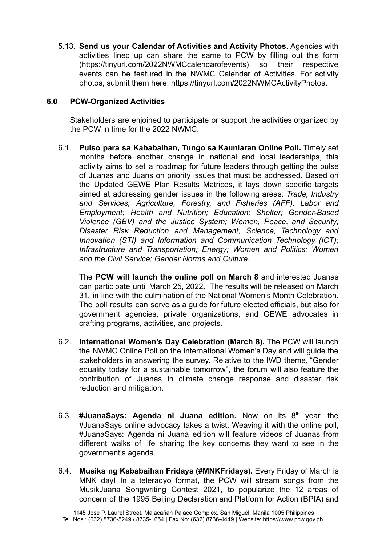5.13. **Send us your Calendar of Activities and Activity Photos**. Agencies with activities lined up can share the same to PCW by filling out this [form](https://tinyurl.com/2022NWMCcalendarofevents) (https://tinyurl.com/2022NWMCcalendarofevents) so their respective events can be featured in the NWMC Calendar of Activities. For activity photos, submit them [here:](https://tinyurl.com/2022NWMCActivityPhotos) <https://tinyurl.com/2022NWMCActivityPhotos>.

## **6.0 PCW-Organized Activities**

Stakeholders are enjoined to participate or support the activities organized by the PCW in time for the 2022 NWMC.

6.1. **Pulso para sa Kababaihan, Tungo sa Kaunlaran Online Poll.** Timely set months before another change in national and local leaderships, this activity aims to set a roadmap for future leaders through getting the pulse of Juanas and Juans on priority issues that must be addressed. Based on the Updated GEWE Plan Results Matrices, it lays down specific targets aimed at addressing gender issues in the following areas: *Trade, Industry and Services; Agriculture, Forestry, and Fisheries (AFF); Labor and Employment; Health and Nutrition; Education; Shelter; Gender-Based Violence (GBV) and the Justice System; Women, Peace, and Security; Disaster Risk Reduction and Management; Science, Technology and Innovation (STI) and Information and Communication Technology (ICT); Infrastructure and Transportation; Energy; Women and Politics; Women and the Civil Service; Gender Norms and Culture.*

The **PCW will launch the online poll on March 8** and interested Juanas can participate until March 25, 2022. The results will be released on March 31, in line with the culmination of the National Women's Month Celebration. The poll results can serve as a guide for future elected officials, but also for government agencies, private organizations, and GEWE advocates in crafting programs, activities, and projects.

- 6.2. **International Women's Day Celebration (March 8).** The PCW will launch the NWMC Online Poll on the International Women's Day and will guide the stakeholders in answering the survey. Relative to the IWD theme, "Gender equality today for a sustainable tomorrow", the forum will also feature the contribution of Juanas in climate change response and disaster risk reduction and mitigation.
- 6.3. **#JuanaSays: Agenda ni Juana edition.** Now on its 8 th year, the #JuanaSays online advocacy takes a twist. Weaving it with the online poll, #JuanaSays: Agenda ni Juana edition will feature videos of Juanas from different walks of life sharing the key concerns they want to see in the government's agenda.
- 6.4. **Musika ng Kababaihan Fridays (#MNKFridays).** Every Friday of March is MNK day! In a teleradyo format, the PCW will stream songs from the MusikJuana Songwriting Contest 2021, to popularize the 12 areas of concern of the 1995 Beijing Declaration and Platform for Action (BPfA) and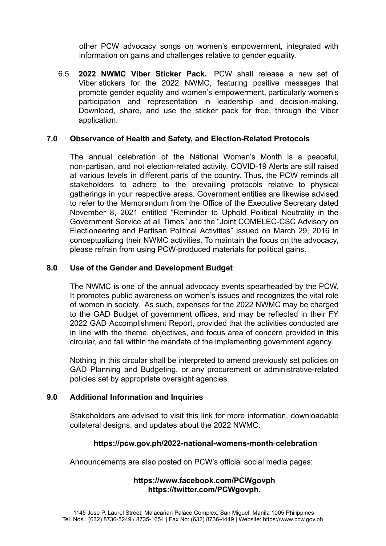other PCW advocacy songs on women's empowerment, integrated with information on gains and challenges relative to gender equality.

6.5. **2022 NWMC Viber Sticker Pack.** PCW shall release a new set of Viber stickers for the 2022 NWMC, featuring positive messages that promote gender equality and women's empowerment, particularly women's participation and representation in leadership and decision-making. Download, share, and use the sticker pack for free, through the Viber application.

## **7.0 Observance of Health and Safety, and Election-Related Protocols**

The annual celebration of the National Women's Month is a peaceful, non-partisan, and not election-related activity. COVID-19 Alerts are still raised at various levels in different parts of the country. Thus, the PCW reminds all stakeholders to adhere to the prevailing protocols relative to physical gatherings in your respective areas. Government entities are likewise advised to refer to the Memorandum from the Office of the Executive Secretary dated November 8, 2021 entitled "Reminder to Uphold Political Neutrality in the Government Service at all Times" and the "Joint COMELEC-CSC Advisory on Electioneering and Partisan Political Activities" issued on March 29, 2016 in conceptualizing their NWMC activities. To maintain the focus on the advocacy, please refrain from using PCW-produced materials for political gains.

## **8.0 Use of the Gender and Development Budget**

The NWMC is one of the annual advocacy events spearheaded by the PCW. It promotes public awareness on women's issues and recognizes the vital role of women in society. As such, expenses for the 2022 NWMC may be charged to the GAD Budget of government offices, and may be reflected in their FY 2022 GAD Accomplishment Report, provided that the activities conducted are in line with the theme, objectives, and focus area of concern provided in this circular, and fall within the mandate of the implementing government agency.

Nothing in this circular shall be interpreted to amend previously set policies on GAD Planning and Budgeting, or any procurement or administrative-related policies set by appropriate oversight agencies.

## **9.0 Additional Information and Inquiries**

Stakeholders are advised to visit this link for more information, downloadable collateral designs, and updates about the 2022 NWMC:

## **[https://pcw.gov.ph/2022-national-womens-month](https://pcw.gov.ph/2021-national-womens-month/)**-**celebration**

Announcements are also posted on PCW's official social media pages:

# **<https://www.facebook.com/PCWgovph> <https://twitter.com/PCWgovph>.**